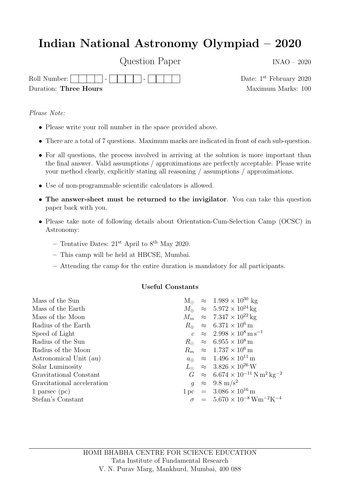## Indian National Astronomy Olympiad – 2020

Question Paper INAO – 2020

Roll Number:  $\Box$   $\Box$  -  $\Box$  -  $\Box$  -  $\Box$  -  $\Box$  Date: 1<sup>st</sup> February 2020 Duration: Three Hours Maximum Marks: 100

Please Note:

- Please write your roll number in the space provided above.
- There are a total of 7 questions. Maximum marks are indicated in front of each sub-question.
- For all questions, the process involved in arriving at the solution is more important than the final answer. Valid assumptions / approximations are perfectly acceptable. Please write your method clearly, explicitly stating all reasoning / assumptions / approximations.
- Use of non-programmable scientific calculators is allowed.
- The answer-sheet must be returned to the invigilator. You can take this question paper back with you.
- Please take note of following details about Orientation-Cum-Selection Camp (OCSC) in Astronomy:
	- Tentative Dates:  $21^{\rm st}$  April to  $8^{\rm th}$  May 2020.
	- This camp will be held at HBCSE, Mumbai.
	- Attending the camp for the entire duration is mandatory for all participants.

## Useful Constants

| Mass of the Sun            |  | $M_{\odot} \approx 1.989 \times 10^{30}$ kg                                      |
|----------------------------|--|----------------------------------------------------------------------------------|
| Mass of the Earth          |  | $M_{\oplus} \approx 5.972 \times 10^{24}$ kg                                     |
| Mass of the Moon           |  | $M_m \approx 7.347 \times 10^{22}$ kg                                            |
| Radius of the Earth        |  | $R_{\oplus} \approx 6.371 \times 10^6 \,\mathrm{m}$                              |
| Speed of Light             |  | $c \approx 2.998 \times 10^8 \,\mathrm{m\,s^{-1}}$                               |
| Radius of the Sun          |  | $R_{\odot} \approx 6.955 \times 10^8 \,\mathrm{m}$                               |
| Radius of the Moon         |  | $R_m \approx 1.737 \times 10^6 \,\mathrm{m}$                                     |
| Astronomical Unit (au)     |  | $a_{\oplus} \approx 1.496 \times 10^{11} \,\mathrm{m}$                           |
| Solar Luminosity           |  | $L_{\odot} \approx 3.826 \times 10^{26} \,\mathrm{W}$                            |
| Gravitational Constant     |  | $G \approx 6.674 \times 10^{-11} \,\mathrm{N} \,\mathrm{m}^2 \,\mathrm{kg}^{-2}$ |
| Gravitational acceleration |  | $q \approx 9.8 \text{ m/s}^2$                                                    |
| 1 parsec $~\rm{(pc)}$      |  | $1 pc = 3.086 \times 10^{16} m$                                                  |
| Stefan's Constant          |  | $\sigma = 5.670 \times 10^{-8} \,\mathrm{Wm^{-2}K^{-4}}$                         |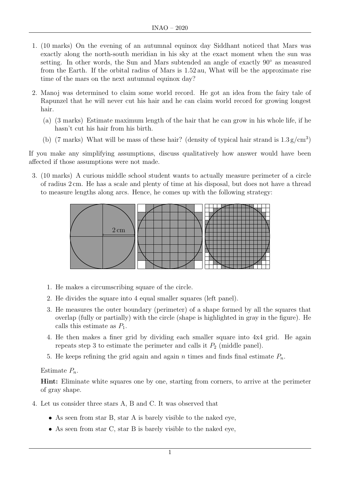- 1. (10 marks) On the evening of an autumnal equinox day Siddhant noticed that Mars was exactly along the north-south meridian in his sky at the exact moment when the sun was setting. In other words, the Sun and Mars subtended an angle of exactly 90° as measured from the Earth. If the orbital radius of Mars is 1.52 au, What will be the approximate rise time of the mars on the next autumnal equinox day?
- 2. Manoj was determined to claim some world record. He got an idea from the fairy tale of Rapunzel that he will never cut his hair and he can claim world record for growing longest hair.
	- (a) (3 marks) Estimate maximum length of the hair that he can grow in his whole life, if he hasn't cut his hair from his birth.
	- (b) (7 marks) What will be mass of these hair? (density of typical hair strand is  $1.3 \text{ g/cm}^3$ )

If you make any simplifying assumptions, discuss qualitatively how answer would have been affected if those assumptions were not made.

3. (10 marks) A curious middle school student wants to actually measure perimeter of a circle of radius 2 cm. He has a scale and plenty of time at his disposal, but does not have a thread to measure lengths along arcs. Hence, he comes up with the following strategy:



- 1. He makes a circumscribing square of the circle.
- 2. He divides the square into 4 equal smaller squares (left panel).
- 3. He measures the outer boundary (perimeter) of a shape formed by all the squares that overlap (fully or partially) with the circle (shape is highlighted in gray in the figure). He calls this estimate as  $P_1$ .
- 4. He then makes a finer grid by dividing each smaller square into 4x4 grid. He again repeats step 3 to estimate the perimeter and calls it  $P_2$  (middle panel).
- 5. He keeps refining the grid again and again n times and finds final estimate  $P_n$ .

## Estimate  $P_n$ .

Hint: Eliminate white squares one by one, starting from corners, to arrive at the perimeter of gray shape.

- 4. Let us consider three stars A, B and C. It was observed that
	- As seen from star B, star A is barely visible to the naked eye,
	- As seen from star C, star B is barely visible to the naked eye,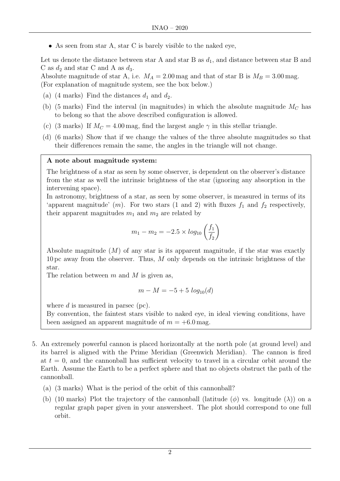• As seen from star A, star C is barely visible to the naked eye,

Let us denote the distance between star A and star B as  $d_1$ , and distance between star B and C as  $d_2$  and star C and A as  $d_3$ .

Absolute magnitude of star A, i.e.  $M_A = 2.00$  mag and that of star B is  $M_B = 3.00$  mag. (For explanation of magnitude system, see the box below.)

- (a) (4 marks) Find the distances  $d_1$  and  $d_2$ .
- (b) (5 marks) Find the interval (in magnitudes) in which the absolute magnitude  $M_C$  has to belong so that the above described configuration is allowed.
- (c) (3 marks) If  $M_C = 4.00$  mag, find the largest angle  $\gamma$  in this stellar triangle.
- (d) (6 marks) Show that if we change the values of the three absolute magnitudes so that their differences remain the same, the angles in the triangle will not change.

## A note about magnitude system:

The brightness of a star as seen by some observer, is dependent on the observer's distance from the star as well the intrinsic brightness of the star (ignoring any absorption in the intervening space).

In astronomy, brightness of a star, as seen by some observer, is measured in terms of its 'apparent magnitude'  $(m)$ . For two stars (1 and 2) with fluxes  $f_1$  and  $f_2$  respectively, their apparent magnitudes  $m_1$  and  $m_2$  are related by

$$
m_1 - m_2 = -2.5 \times log_{10} \left( \frac{f_1}{f_2} \right)
$$

Absolute magnitude  $(M)$  of any star is its apparent magnitude, if the star was exactly 10 pc away from the observer. Thus, M only depends on the intrinsic brightness of the star.

The relation between  $m$  and  $M$  is given as,

$$
m - M = -5 + 5 \log_{10}(d)
$$

where d is measured in parsec (pc).

By convention, the faintest stars visible to naked eye, in ideal viewing conditions, have been assigned an apparent magnitude of  $m = +6.0$  mag.

- 5. An extremely powerful cannon is placed horizontally at the north pole (at ground level) and its barrel is aligned with the Prime Meridian (Greenwich Meridian). The cannon is fired at  $t = 0$ , and the cannonball has sufficient velocity to travel in a circular orbit around the Earth. Assume the Earth to be a perfect sphere and that no objects obstruct the path of the cannonball.
	- (a) (3 marks) What is the period of the orbit of this cannonball?
	- (b) (10 marks) Plot the trajectory of the cannonball (latitude  $(\phi)$  vs. longitude  $(\lambda)$ ) on a regular graph paper given in your answersheet. The plot should correspond to one full orbit.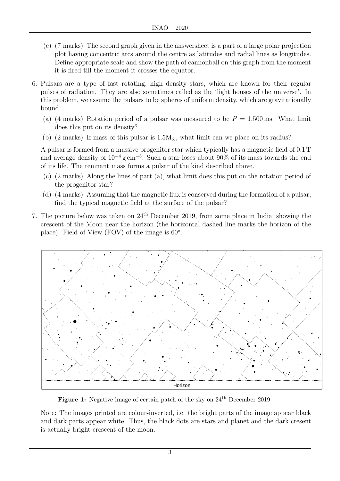- (c) (7 marks) The second graph given in the answersheet is a part of a large polar projection plot having concentric arcs around the centre as latitudes and radial lines as longitudes. Define appropriate scale and show the path of cannonball on this graph from the moment it is fired till the moment it crosses the equator.
- 6. Pulsars are a type of fast rotating, high density stars, which are known for their regular pulses of radiation. They are also sometimes called as the 'light houses of the universe'. In this problem, we assume the pulsars to be spheres of uniform density, which are gravitationally bound.
	- (a) (4 marks) Rotation period of a pulsar was measured to be  $P = 1.500$  ms. What limit does this put on its density?
	- (b) (2 marks) If mass of this pulsar is  $1.5M_{\odot}$ , what limit can we place on its radius?

A pulsar is formed from a massive progenitor star which typically has a magnetic field of 0.1 T and average density of  $10^{-4}$  g cm<sup>-3</sup>. Such a star loses about 90% of its mass towards the end of its life. The remnant mass forms a pulsar of the kind described above.

- (c) (2 marks) Along the lines of part (a), what limit does this put on the rotation period of the progenitor star?
- (d) (4 marks) Assuming that the magnetic flux is conserved during the formation of a pulsar, find the typical magnetic field at the surface of the pulsar?
- 7. The picture below was taken on  $24<sup>th</sup>$  December 2019, from some place in India, showing the crescent of the Moon near the horizon (the horizontal dashed line marks the horizon of the place). Field of View (FOV) of the image is 60°.



Figure 1: Negative image of certain patch of the sky on  $24<sup>th</sup>$  December 2019

Note: The images printed are colour-inverted, i.e. the bright parts of the image appear black and dark parts appear white. Thus, the black dots are stars and planet and the dark cresent is actually bright crescent of the moon.